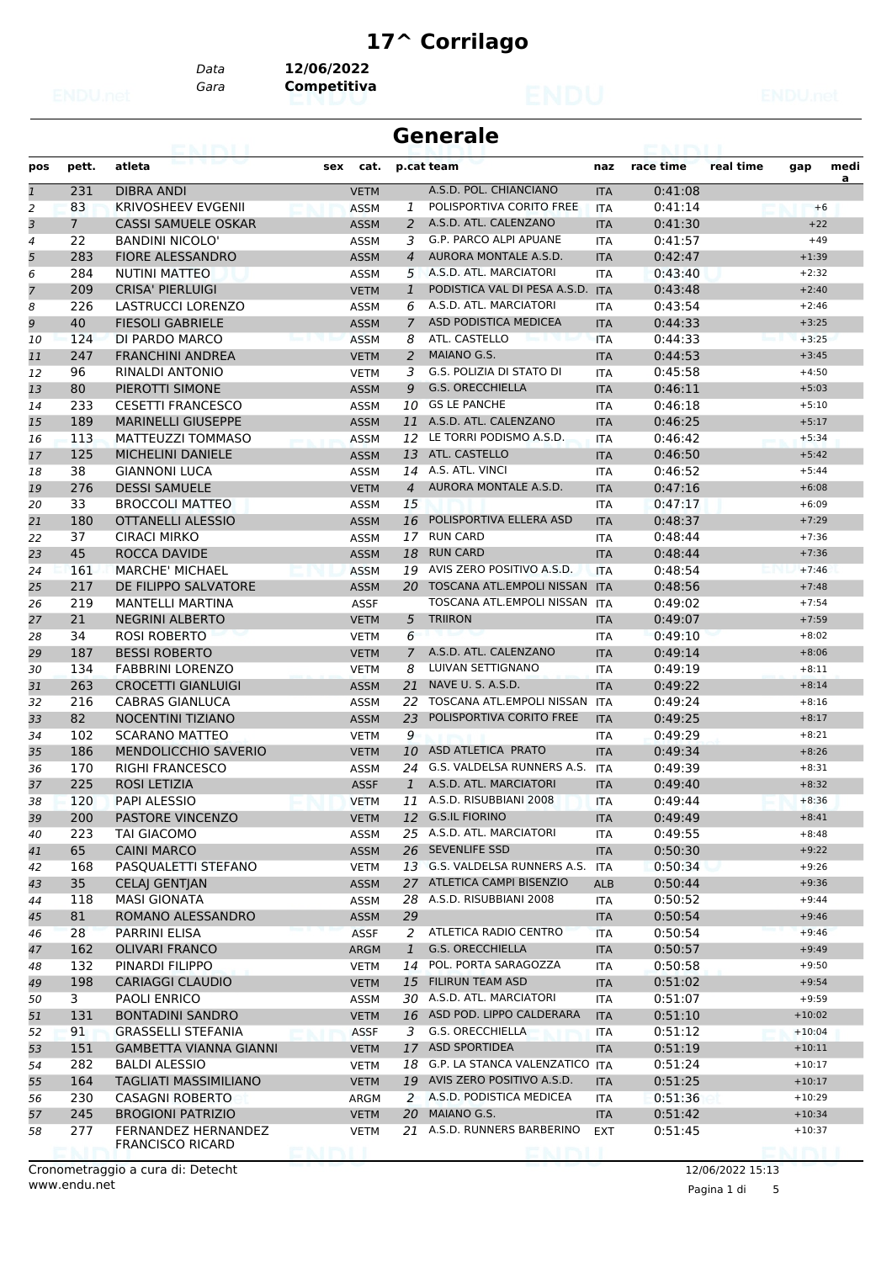# **17^ Corrilago**

*Gara* **Competitiva** *Data* **12/06/2022**

|              | <b>Generale</b> |                                                   |                                        |                |                                                                   |                   |                    |           |                    |           |
|--------------|-----------------|---------------------------------------------------|----------------------------------------|----------------|-------------------------------------------------------------------|-------------------|--------------------|-----------|--------------------|-----------|
| pos          | pett.           | atleta                                            | sex                                    | cat.           | p.cat team                                                        | naz               | race time          | real time | gap                | medi<br>a |
| $\mathbf{1}$ | 231             | DIBRA ANDI                                        | <b>VETM</b>                            |                | A.S.D. POL. CHIANCIANO                                            | <b>ITA</b>        | 0:41:08            |           |                    |           |
| 2            | 83              | <b>KRIVOSHEEV EVGENII</b>                         | <b>ASSM</b>                            | 1              | POLISPORTIVA CORITO FREE                                          | <b>ITA</b>        | 0:41:14            |           | $+6$               |           |
| 3            | $7^{\circ}$     | <b>CASSI SAMUELE OSKAR</b>                        | <b>ASSM</b>                            | 2              | A.S.D. ATL. CALENZANO                                             | <b>ITA</b>        | 0:41:30            |           | $+22$              |           |
| 4            | 22              | <b>BANDINI NICOLO'</b>                            | <b>ASSM</b>                            | 3              | G.P. PARCO ALPI APUANE                                            | ITA               | 0:41:57            |           | $+49$              |           |
| 5            | 283             | <b>FIORE ALESSANDRO</b>                           | <b>ASSM</b>                            | $\overline{4}$ | AURORA MONTALE A.S.D.                                             | <b>ITA</b>        | 0:42:47            |           | $+1:39$            |           |
| 6            | 284             | <b>NUTINI MATTEO</b>                              | ASSM                                   |                | 5 A.S.D. ATL. MARCIATORI                                          | ITA               | 0:43:40            |           | $+2:32$            |           |
|              | 209             | <b>CRISA' PIERLUIGI</b>                           | <b>VETM</b>                            | $\mathbf{1}$   | PODISTICA VAL DI PESA A.S.D. ITA                                  |                   | 0:43:48            |           | $+2:40$            |           |
| 8            | 226             | <b>LASTRUCCI LORENZO</b>                          | <b>ASSM</b>                            | 6              | A.S.D. ATL. MARCIATORI                                            | <b>ITA</b>        | 0:43:54            |           | $+2:46$            |           |
| 9            | 40              | <b>FIESOLI GABRIELE</b>                           | <b>ASSM</b>                            | 7              | ASD PODISTICA MEDICEA                                             | <b>ITA</b>        | 0:44:33            |           | $+3:25$            |           |
| 10           | 124             | DI PARDO MARCO                                    | <b>ASSM</b>                            | 8              | ATL. CASTELLO                                                     | <b>ITA</b>        | 0:44:33            |           | $+3:25$            |           |
| 11           | 247             | <b>FRANCHINI ANDREA</b>                           | <b>VETM</b>                            | 2              | MAIANO G.S.                                                       | <b>ITA</b>        | 0:44:53            |           | $+3:45$            |           |
| 12           | 96              | RINALDI ANTONIO                                   | <b>VETM</b>                            | 3              | G.S. POLIZIA DI STATO DI                                          | ITA               | 0:45:58            |           | $+4:50$            |           |
| 13           | 80              | PIEROTTI SIMONE                                   | <b>ASSM</b>                            | 9              | <b>G.S. ORECCHIELLA</b>                                           | <b>ITA</b>        | 0:46:11            |           | $+5:03$            |           |
| 14           | 233             | <b>CESETTI FRANCESCO</b>                          | <b>ASSM</b>                            | 10             | <b>GS LE PANCHE</b>                                               | <b>ITA</b>        | 0:46:18            |           | $+5:10$            |           |
| 15           | 189             | <b>MARINELLI GIUSEPPE</b>                         | <b>ASSM</b>                            |                | 11 A.S.D. ATL. CALENZANO                                          | <b>ITA</b>        | 0:46:25            |           | $+5:17$            |           |
| 16           | 113             | MATTEUZZI TOMMASO                                 | <b>ASSM</b>                            | 12             | LE TORRI PODISMO A.S.D.                                           | <b>ITA</b>        | 0:46:42            |           | $+5:34$            |           |
| 17           | 125             | <b>MICHELINI DANIELE</b>                          | <b>ASSM</b>                            | 13             | ATL. CASTELLO                                                     | <b>ITA</b>        | 0:46:50            |           | $+5:42$            |           |
| 18           | 38              | <b>GIANNONI LUCA</b>                              | ASSM                                   | 14             | A.S. ATL. VINCI                                                   | ITA               | 0:46:52            |           | $+5:44$            |           |
| 19           | 276             | <b>DESSI SAMUELE</b>                              | <b>VETM</b>                            | $\overline{4}$ | AURORA MONTALE A.S.D.                                             | <b>ITA</b>        | 0:47:16            |           | $+6:08$            |           |
| 20           | 33              | <b>BROCCOLI MATTEO</b>                            | <b>ASSM</b>                            | 15             |                                                                   | <b>ITA</b>        | 0:47:17            |           | $+6:09$            |           |
| 21           | 180             | OTTANELLI ALESSIO                                 | <b>ASSM</b>                            | 16             | POLISPORTIVA ELLERA ASD                                           | <b>ITA</b>        | 0:48:37            |           | $+7:29$            |           |
| 22           | 37              | CIRACI MIRKO                                      | <b>ASSM</b>                            |                | 17 RUN CARD                                                       | ITA               | 0:48:44            |           | $+7:36$            |           |
| 23           | 45              | ROCCA DAVIDE                                      | <b>ASSM</b>                            | 18             | <b>RUN CARD</b><br>AVIS ZERO POSITIVO A.S.D.                      | <b>ITA</b>        | 0:48:44            |           | $+7:36$            |           |
| 24           | 161             | <b>MARCHE' MICHAEL</b>                            | <b>ASSM</b>                            | 19             |                                                                   | <b>ITA</b>        | 0:48:54            |           | $+7:46$            |           |
| 25           | 217             | DE FILIPPO SALVATORE                              | <b>ASSM</b>                            |                | 20 TOSCANA ATL.EMPOLI NISSAN ITA<br>TOSCANA ATL.EMPOLI NISSAN ITA |                   | 0:48:56            |           | $+7:48$            |           |
| 26           | 219<br>21       | <b>MANTELLI MARTINA</b><br><b>NEGRINI ALBERTO</b> | <b>ASSF</b>                            |                | <b>TRIIRON</b>                                                    |                   | 0:49:02            |           | $+7:54$            |           |
| 27           | 34              | <b>ROSI ROBERTO</b>                               | <b>VETM</b>                            | 5<br>6         |                                                                   | <b>ITA</b>        | 0:49:07<br>0:49:10 |           | $+7:59$<br>$+8:02$ |           |
| 28<br>29     | 187             | <b>BESSI ROBERTO</b>                              | <b>VETM</b><br><b>VETM</b>             | 7              | A.S.D. ATL. CALENZANO                                             | ITA<br><b>ITA</b> | 0:49:14            |           | $+8:06$            |           |
| 30           | 134             | <b>FABBRINI LORENZO</b>                           | <b>VETM</b>                            | 8              | LUIVAN SETTIGNANO                                                 | ITA               | 0:49:19            |           | $+8:11$            |           |
| 31           | 263             | <b>CROCETTI GIANLUIGI</b>                         | <b>ASSM</b>                            |                | 21 NAVE U. S. A.S.D.                                              | <b>ITA</b>        | 0:49:22            |           | $+8:14$            |           |
| 32           | 216             | <b>CABRAS GIANLUCA</b>                            | <b>ASSM</b>                            | 22             | TOSCANA ATL.EMPOLI NISSAN                                         | <b>ITA</b>        | 0:49:24            |           | $+8:16$            |           |
| 33           | 82              | <b>NOCENTINI TIZIANO</b>                          | <b>ASSM</b>                            | 23             | POLISPORTIVA CORITO FREE                                          | <b>ITA</b>        | 0:49:25            |           | $+8:17$            |           |
| 34           | 102             | <b>SCARANO MATTEO</b>                             | <b>VETM</b>                            | 9              |                                                                   | ITA               | 0:49:29            |           | $+8:21$            |           |
| 35           | 186             | <b>MENDOLICCHIO SAVERIO</b>                       | <b>VETM</b>                            | 10             | ASD ATLETICA PRATO                                                | <b>ITA</b>        | 0:49:34            |           | $+8:26$            |           |
| 36           | 170             | <b>RIGHI FRANCESCO</b>                            | ASSM                                   | 24             | G.S. VALDELSA RUNNERS A.S.                                        | ITA               | 0:49:39            |           | $+8:31$            |           |
| 37           | 225             | ROSI LETIZIA                                      | <b>ASSF</b>                            |                | 1 A.S.D. ATL. MARCIATORI                                          | <b>ITA</b>        | 0:49:40            |           | $+8:32$            |           |
| 38           | 120             | PAPI ALESSIO                                      | <b>VETM</b>                            |                | 11 A.S.D. RISUBBIANI 2008                                         | <b>ITA</b>        | 0:49:44            |           | $+8:36$            |           |
| 39           | 200             | PASTORE VINCENZO                                  | <b>VETM</b>                            |                | 12 G.S.IL FIORINO                                                 | <b>ITA</b>        | 0:49:49            |           | $+8:41$            |           |
| 40           | 223             | TAI GIACOMO                                       | <b>ASSM</b>                            |                | 25 A.S.D. ATL. MARCIATORI                                         | ITA               | 0:49:55            |           | $+8:48$            |           |
| 41           | 65              | <b>CAINI MARCO</b>                                | <b>ASSM</b>                            |                | 26 SEVENLIFE SSD                                                  | <b>ITA</b>        | 0:50:30            |           | $+9:22$            |           |
| 42           | 168             | PASQUALETTI STEFANO                               | <b>VETM</b>                            |                | 13 G.S. VALDELSA RUNNERS A.S.                                     | ITA               | 0:50:34            |           | $+9:26$            |           |
| 43           | 35              | <b>CELAJ GENTJAN</b>                              | <b>ASSM</b>                            |                | 27 ATLETICA CAMPI BISENZIO                                        | <b>ALB</b>        | 0:50:44            |           | $+9:36$            |           |
| 44           | 118             | <b>MASI GIONATA</b>                               | ASSM                                   | 28             | A.S.D. RISUBBIANI 2008                                            | ITA               | 0:50:52            |           | $+9:44$            |           |
| 45           | 81              | ROMANO ALESSANDRO                                 | <b>ASSM</b>                            | 29             |                                                                   | <b>ITA</b>        | 0:50:54            |           | $+9:46$            |           |
| 46           | 28              | PARRINI ELISA                                     | <b>ASSF</b>                            | 2              | ATLETICA RADIO CENTRO                                             | <b>ITA</b>        | 0:50:54            |           | $+9:46$            |           |
| 47           | 162             | <b>OLIVARI FRANCO</b>                             | <b>ARGM</b>                            | $\mathbf{1}$   | <b>G.S. ORECCHIELLA</b>                                           | <b>ITA</b>        | 0:50:57            |           | $+9:49$            |           |
| 48           | 132             | PINARDI FILIPPO                                   | <b>VETM</b>                            | 14             | POL. PORTA SARAGOZZA                                              | ITA               | 0:50:58            |           | $+9:50$            |           |
| 49           | 198             | <b>CARIAGGI CLAUDIO</b>                           | <b>VETM</b>                            |                | 15 FILIRUN TEAM ASD                                               | <b>ITA</b>        | 0:51:02            |           | $+9:54$            |           |
| 50           | 3               | PAOLI ENRICO                                      | <b>ASSM</b>                            |                | 30 A.S.D. ATL. MARCIATORI                                         | ITA               | 0:51:07            |           | $+9:59$            |           |
| 51           | 131             | <b>BONTADINI SANDRO</b>                           | <b>VETM</b>                            |                | 16 ASD POD. LIPPO CALDERARA                                       | <b>ITA</b>        | 0:51:10            |           | $+10:02$           |           |
| 52           | 91              | <b>GRASSELLI STEFANIA</b>                         | <b>ASSF</b>                            |                | <b>G.S. ORECCHIELLA</b><br>3                                      | <b>ITA</b>        | 0:51:12            |           | $+10:04$           |           |
| 53           | 151             | <b>GAMBETTA VIANNA GIANNI</b>                     | <b>VETM</b>                            |                | 17 ASD SPORTIDEA                                                  | <b>ITA</b>        | 0:51:19            |           | $+10:11$           |           |
| 54           | 282             | <b>BALDI ALESSIO</b>                              | <b>VETM</b>                            |                | 18 G.P. LA STANCA VALENZATICO ITA                                 |                   | 0:51:24            |           | $+10:17$           |           |
| 55           | 164             | <b>TAGLIATI MASSIMILIANO</b>                      | <b>VETM</b>                            |                | 19 AVIS ZERO POSITIVO A.S.D.                                      | <b>ITA</b>        | 0:51:25            |           | $+10:17$           |           |
| 56           | 230             | <b>CASAGNI ROBERTO</b>                            | ARGM                                   | 2              | A.S.D. PODISTICA MEDICEA                                          | ITA               | 0:51:36            |           | $+10:29$           |           |
| 57           | 245             | <b>BROGIONI PATRIZIO</b>                          | <b>VETM</b>                            | 20             | MAIANO G.S.                                                       | <b>ITA</b>        | 0:51:42            |           | $+10:34$           |           |
| 58           | 277             | FERNANDEZ HERNANDEZ                               | <b>VETM</b>                            |                | 21 A.S.D. RUNNERS BARBERINO                                       | <b>EXT</b>        | 0:51:45            |           | $+10:37$           |           |
|              |                 | <b>FRANCISCO RICARD</b>                           | <b>STATISTICS</b> IN STRUCTURES IN THE |                | <b>SEPTEMBER 1989 SEPTEMBER 1988</b>                              |                   |                    |           | <b>KIMA BU</b>     |           |

Pagina 1 di 5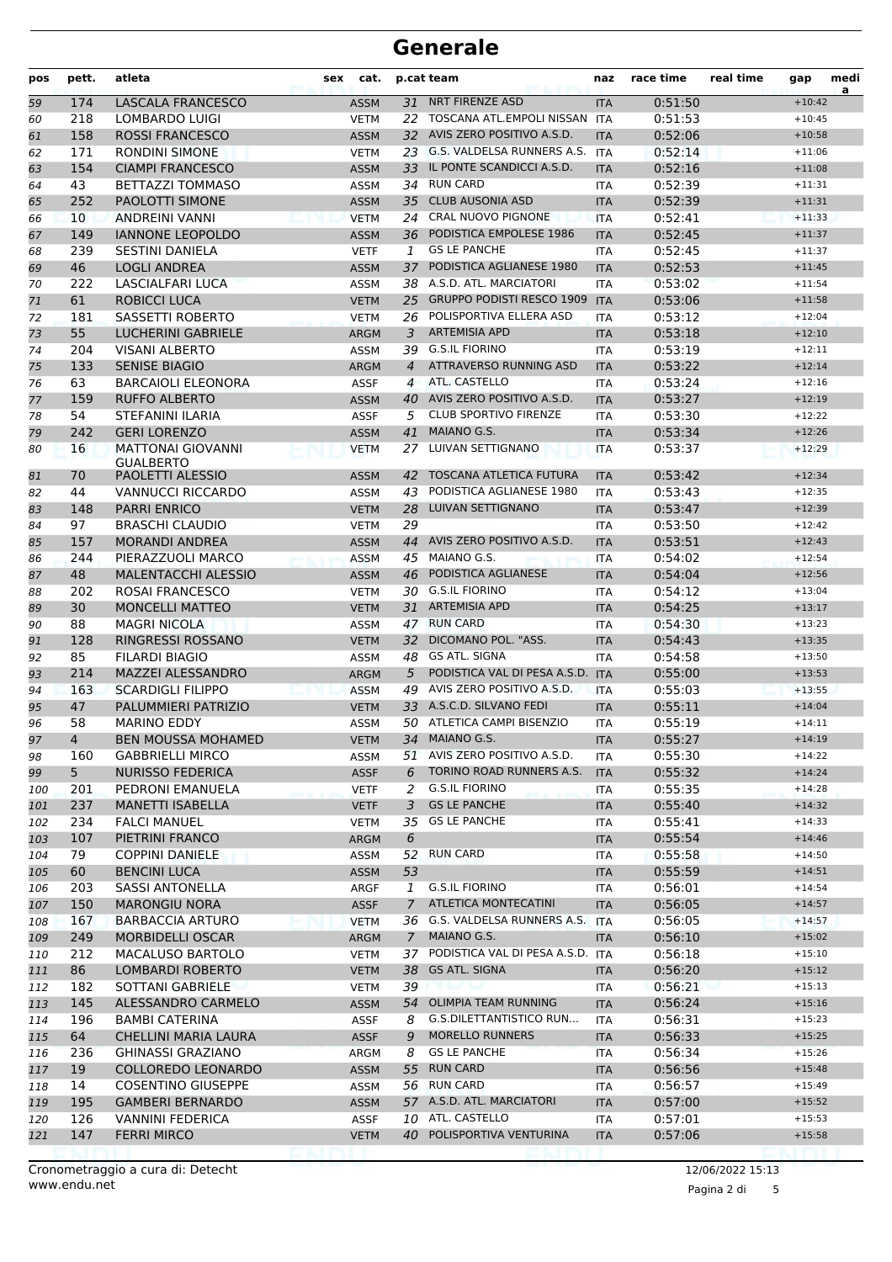| pos | pett.           | atleta                     | sex | cat.        |                | p.cat team                                         | naz        | race time | real time | gap      | medi<br>a |
|-----|-----------------|----------------------------|-----|-------------|----------------|----------------------------------------------------|------------|-----------|-----------|----------|-----------|
| 59  | 174             | LASCALA FRANCESCO          |     | <b>ASSM</b> | 31             | <b>NRT FIRENZE ASD</b>                             | <b>ITA</b> | 0:51:50   |           | $+10:42$ |           |
| 60  | 218             | LOMBARDO LUIGI             |     | <b>VETM</b> | 22             | TOSCANA ATL.EMPOLI NISSAN ITA                      |            | 0:51:53   |           | $+10:45$ |           |
| 61  | 158             | <b>ROSSI FRANCESCO</b>     |     | <b>ASSM</b> |                | 32 AVIS ZERO POSITIVO A.S.D.                       | <b>ITA</b> | 0:52:06   |           | $+10:58$ |           |
| 62  | 171             | <b>RONDINI SIMONE</b>      |     | <b>VETM</b> |                | 23 G.S. VALDELSA RUNNERS A.S.                      | <b>ITA</b> | 0:52:14   |           | $+11:06$ |           |
| 63  | 154             | <b>CIAMPI FRANCESCO</b>    |     | <b>ASSM</b> | 33             | IL PONTE SCANDICCI A.S.D.<br>0:52:16<br><b>ITA</b> |            |           | $+11:08$  |          |           |
| 64  | 43              | BETTAZZI TOMMASO           |     | <b>ASSM</b> |                | 34 RUN CARD                                        | <b>ITA</b> | 0:52:39   |           | $+11:31$ |           |
| 65  | 252             | PAOLOTTI SIMONE            |     | <b>ASSM</b> | 35             | <b>CLUB AUSONIA ASD</b>                            | <b>ITA</b> | 0:52:39   |           | $+11:31$ |           |
| 66  | 10 <sup>°</sup> | <b>ANDREINI VANNI</b>      |     | <b>VETM</b> | 24             | <b>CRAL NUOVO PIGNONE</b>                          | <b>ITA</b> | 0:52:41   |           | $+11:33$ |           |
| 67  | 149             | <b>IANNONE LEOPOLDO</b>    |     | <b>ASSM</b> |                | 36 PODISTICA EMPOLESE 1986                         | <b>ITA</b> | 0:52:45   |           | $+11:37$ |           |
| 68  | 239             | <b>SESTINI DANIELA</b>     |     | <b>VETF</b> | 1              | <b>GS LE PANCHE</b>                                | <b>ITA</b> | 0:52:45   |           | $+11:37$ |           |
| 69  | 46              | <b>LOGLI ANDREA</b>        |     | <b>ASSM</b> | 37             | PODISTICA AGLIANESE 1980                           | <b>ITA</b> | 0:52:53   |           | $+11:45$ |           |
| 70  | 222             | <b>LASCIALFARI LUCA</b>    |     | <b>ASSM</b> |                | 38 A.S.D. ATL. MARCIATORI                          | <b>ITA</b> | 0:53:02   |           | $+11:54$ |           |
| 71  | 61              | <b>ROBICCI LUCA</b>        |     | <b>VETM</b> | 25             | <b>GRUPPO PODISTI RESCO 1909</b>                   | <b>ITA</b> | 0:53:06   |           | $+11:58$ |           |
| 72  | 181             | SASSETTI ROBERTO           |     | <b>VETM</b> | 26             | POLISPORTIVA ELLERA ASD                            | <b>ITA</b> | 0:53:12   |           | $+12:04$ |           |
| 73  | 55              | <b>LUCHERINI GABRIELE</b>  |     | <b>ARGM</b> | 3              | <b>ARTEMISIA APD</b>                               | <b>ITA</b> | 0:53:18   |           | $+12:10$ |           |
| 74  | 204             | <b>VISANI ALBERTO</b>      |     | <b>ASSM</b> |                | 39 G.S.IL FIORINO                                  | <b>ITA</b> | 0:53:19   |           | $+12:11$ |           |
| 75  | 133             | <b>SENISE BIAGIO</b>       |     | <b>ARGM</b> | $\overline{4}$ | ATTRAVERSO RUNNING ASD                             | <b>ITA</b> | 0:53:22   |           | $+12:14$ |           |
| 76  | 63              | <b>BARCAIOLI ELEONORA</b>  |     | <b>ASSF</b> | $\overline{4}$ | ATL, CASTELLO                                      | <b>ITA</b> | 0:53:24   |           | $+12:16$ |           |
| 77  | 159             | <b>RUFFO ALBERTO</b>       |     | <b>ASSM</b> | 40             | AVIS ZERO POSITIVO A.S.D.                          | <b>ITA</b> | 0:53:27   |           | $+12:19$ |           |
| 78  | 54              | STEFANINI ILARIA           |     | <b>ASSF</b> | 5              | <b>CLUB SPORTIVO FIRENZE</b>                       | <b>ITA</b> | 0:53:30   |           | $+12:22$ |           |
| 79  | 242             | <b>GERI LORENZO</b>        |     | <b>ASSM</b> | 41             | MAIANO G.S.                                        | <b>ITA</b> | 0:53:34   |           | $+12:26$ |           |
| 80  | 16              | <b>MATTONAI GIOVANNI</b>   |     | <b>VETM</b> | 27             | LUIVAN SETTIGNANO                                  | <b>ITA</b> | 0:53:37   |           | $+12:29$ |           |
|     |                 | <b>GUALBERTO</b>           |     |             |                |                                                    |            |           |           |          |           |
| 81  | 70              | <b>PAOLETTI ALESSIO</b>    |     | <b>ASSM</b> | 42             | <b>TOSCANA ATLETICA FUTURA</b>                     | <b>ITA</b> | 0:53:42   |           | $+12:34$ |           |
| 82  | 44              | <b>VANNUCCI RICCARDO</b>   |     | <b>ASSM</b> | 43             | PODISTICA AGLIANESE 1980                           | <b>ITA</b> | 0:53:43   |           | $+12:35$ |           |
| 83  | 148             | <b>PARRI ENRICO</b>        |     | <b>VETM</b> | 28             | LUIVAN SETTIGNANO                                  | <b>ITA</b> | 0:53:47   |           | $+12:39$ |           |
| 84  | 97              | <b>BRASCHI CLAUDIO</b>     |     | <b>VETM</b> | 29             |                                                    | <b>ITA</b> | 0:53:50   |           | $+12:42$ |           |
| 85  | 157             | <b>MORANDI ANDREA</b>      |     | <b>ASSM</b> |                | 44 AVIS ZERO POSITIVO A.S.D.                       | <b>ITA</b> | 0:53:51   |           | $+12:43$ |           |
| 86  | 244             | PIERAZZUOLI MARCO          |     | <b>ASSM</b> | 45             | MAIANO G.S.                                        | <b>ITA</b> | 0:54:02   |           | $+12:54$ |           |
| 87  | 48              | <b>MALENTACCHI ALESSIO</b> |     | <b>ASSM</b> | 46             | PODISTICA AGLIANESE                                | <b>ITA</b> | 0:54:04   |           | $+12:56$ |           |
| 88  | 202             | <b>ROSAI FRANCESCO</b>     |     | <b>VETM</b> |                | 30 G.S.IL FIORINO                                  | <b>ITA</b> | 0:54:12   |           | $+13:04$ |           |
| 89  | 30              | <b>MONCELLI MATTEO</b>     |     | <b>VETM</b> | 31             | <b>ARTEMISIA APD</b>                               | <b>ITA</b> | 0:54:25   |           | $+13:17$ |           |
| 90  | 88              | <b>MAGRI NICOLA</b>        |     | <b>ASSM</b> | 47             | <b>RUN CARD</b>                                    | <b>ITA</b> | 0:54:30   |           | $+13:23$ |           |
| 91  | 128             | RINGRESSI ROSSANO          |     | <b>VETM</b> | 32             | DICOMANO POL. "ASS.                                | <b>ITA</b> | 0:54:43   |           | $+13:35$ |           |
| 92  | 85              | <b>FILARDI BIAGIO</b>      |     | <b>ASSM</b> |                | 48 GS ATL. SIGNA                                   | <b>ITA</b> | 0:54:58   |           | $+13:50$ |           |
| 93  | 214             | <b>MAZZEI ALESSANDRO</b>   |     | <b>ARGM</b> | 5              | PODISTICA VAL DI PESA A.S.D.                       | <b>ITA</b> | 0:55:00   |           | $+13:53$ |           |
| 94  | 163             | <b>SCARDIGLI FILIPPO</b>   |     | <b>ASSM</b> | 49             | AVIS ZERO POSITIVO A.S.D.                          | <b>ITA</b> | 0:55:03   |           | $+13:55$ |           |
| 95  | 47              | PALUMMIERI PATRIZIO        |     | <b>VETM</b> |                | 33 A.S.C.D. SILVANO FEDI                           | <b>ITA</b> | 0:55:11   |           | $+14:04$ |           |
| 96  | 58              | <b>MARINO EDDY</b>         |     | <b>ASSM</b> |                | 50 ATLETICA CAMPI BISENZIO                         | <b>ITA</b> | 0:55:19   |           | $+14:11$ |           |
| 97  | 4               | <b>BEN MOUSSA MOHAMED</b>  |     | <b>VETM</b> |                | 34 MAIANO G.S.                                     | <b>ITA</b> | 0:55:27   |           | $+14:19$ |           |
| 98  | 160             | <b>GABBRIELLI MIRCO</b>    |     | ASSM        |                | 51 AVIS ZERO POSITIVO A.S.D.                       | ITA        | 0:55:30   |           | $+14:22$ |           |
| 99  | 5               | <b>NURISSO FEDERICA</b>    |     | <b>ASSF</b> | 6              | TORINO ROAD RUNNERS A.S.                           | <b>ITA</b> | 0:55:32   |           | $+14:24$ |           |
| 100 | 201             | PEDRONI EMANUELA           |     | <b>VETF</b> | 2              | G.S.IL FIORINO                                     | ITA.       | 0:55:35   |           | $+14:28$ |           |
| 101 | 237             | <b>MANETTI ISABELLA</b>    |     | <b>VETF</b> | 3              | <b>GS LE PANCHE</b>                                | <b>ITA</b> | 0:55:40   |           | $+14:32$ |           |
| 102 | 234             | <b>FALCI MANUEL</b>        |     | VETM        |                | 35 GS LE PANCHE                                    | ITA        | 0:55:41   |           | $+14:33$ |           |
| 103 | 107             | PIETRINI FRANCO            |     | ARGM        | 6              |                                                    | <b>ITA</b> | 0:55:54   |           | $+14:46$ |           |
| 104 | 79              | <b>COPPINI DANIELE</b>     |     | ASSM        |                | 52 RUN CARD                                        | ITA        | 0:55:58   |           | $+14:50$ |           |
| 105 | 60              | <b>BENCINI LUCA</b>        |     | <b>ASSM</b> | 53             |                                                    | <b>ITA</b> | 0:55:59   |           | $+14:51$ |           |
| 106 | 203             | <b>SASSI ANTONELLA</b>     |     | ARGF        | 1              | <b>G.S.IL FIORINO</b>                              | ITA.       | 0:56:01   |           | $+14:54$ |           |
| 107 | 150             | <b>MARONGIU NORA</b>       |     | <b>ASSF</b> | $7^{\circ}$    | ATLETICA MONTECATINI                               | <b>ITA</b> | 0:56:05   |           | $+14:57$ |           |
| 108 | 167             | <b>BARBACCIA ARTURO</b>    |     | <b>VETM</b> |                | 36 G.S. VALDELSA RUNNERS A.S.                      | <b>ITA</b> | 0:56:05   |           | $+14:57$ |           |
| 109 | 249             | <b>MORBIDELLI OSCAR</b>    |     | ARGM        | $7^{\circ}$    | MAIANO G.S.                                        | <b>ITA</b> | 0:56:10   |           | $+15:02$ |           |
| 110 | 212             | MACALUSO BARTOLO           |     | <b>VETM</b> |                | 37 PODISTICA VAL DI PESA A.S.D. ITA                |            | 0:56:18   |           | $+15:10$ |           |
| 111 | 86              | LOMBARDI ROBERTO           |     | <b>VETM</b> | 38             | GS ATL. SIGNA                                      | <b>ITA</b> | 0:56:20   |           | $+15:12$ |           |
| 112 | 182             | SOTTANI GABRIELE           |     | VETM        | 39             |                                                    | ITA.       | 0:56:21   |           | $+15:13$ |           |
| 113 | 145             | ALESSANDRO CARMELO         |     | <b>ASSM</b> |                | 54 OLIMPIA TEAM RUNNING                            | <b>ITA</b> | 0:56:24   |           | $+15:16$ |           |
| 114 | 196             | <b>BAMBI CATERINA</b>      |     | <b>ASSF</b> | 8              | G.S.DILETTANTISTICO RUN                            | ITA        | 0:56:31   |           | $+15:23$ |           |
| 115 | 64              | CHELLINI MARIA LAURA       |     | <b>ASSF</b> | 9              | <b>MORELLO RUNNERS</b>                             | <b>ITA</b> | 0:56:33   |           | $+15:25$ |           |
| 116 | 236             | <b>GHINASSI GRAZIANO</b>   |     | ARGM        | 8              | <b>GS LE PANCHE</b>                                | ITA        | 0:56:34   |           | $+15:26$ |           |
| 117 | 19              | <b>COLLOREDO LEONARDO</b>  |     | <b>ASSM</b> | 55             | <b>RUN CARD</b>                                    | <b>ITA</b> | 0:56:56   |           | $+15:48$ |           |
| 118 | 14              | <b>COSENTINO GIUSEPPE</b>  |     | ASSM        |                | 56 RUN CARD                                        | ITA.       | 0:56:57   |           | $+15:49$ |           |
| 119 | 195             | <b>GAMBERI BERNARDO</b>    |     | <b>ASSM</b> |                | 57 A.S.D. ATL. MARCIATORI                          | <b>ITA</b> | 0:57:00   |           | $+15:52$ |           |
| 120 | 126             | <b>VANNINI FEDERICA</b>    |     | ASSF        |                | 10 ATL. CASTELLO                                   | ITA        | 0:57:01   |           | $+15:53$ |           |
| 121 | 147             | <b>FERRI MIRCO</b>         |     | <b>VETM</b> |                | 40 POLISPORTIVA VENTURINA                          | <b>ITA</b> | 0:57:06   |           | $+15:58$ |           |
|     |                 |                            |     |             |                |                                                    |            |           |           |          |           |

Pagina 2 di 5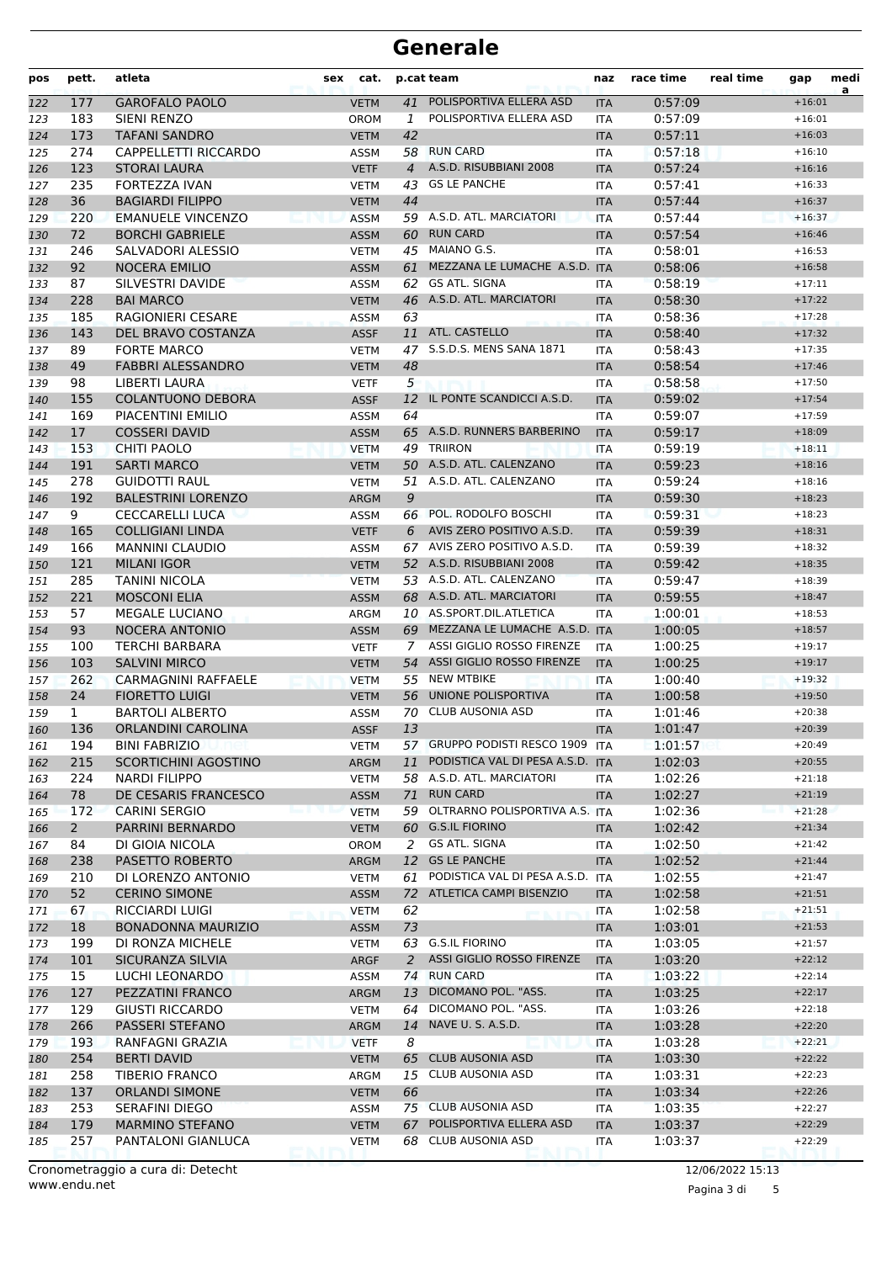| pos | pett.          | atleta                      | cat.<br>sex |                | p.cat team<br>naz                 |            | race time | real time | gap      | medi<br>a |
|-----|----------------|-----------------------------|-------------|----------------|-----------------------------------|------------|-----------|-----------|----------|-----------|
| 122 | 177            | <b>GAROFALO PAOLO</b>       | <b>VETM</b> | 41             | POLISPORTIVA ELLERA ASD           | <b>ITA</b> | 0:57:09   |           | $+16:01$ |           |
| 123 | 183            | SIENI RENZO                 | <b>OROM</b> | 1              | POLISPORTIVA ELLERA ASD           | <b>ITA</b> | 0:57:09   |           | $+16:01$ |           |
| 124 | 173            | <b>TAFANI SANDRO</b>        | <b>VETM</b> | 42             |                                   | <b>ITA</b> | 0:57:11   |           | $+16:03$ |           |
| 125 | 274            | CAPPELLETTI RICCARDO        | ASSM        | 58             | <b>RUN CARD</b>                   | <b>ITA</b> | 0:57:18   |           | $+16:10$ |           |
| 126 | 123            | <b>STORAI LAURA</b>         | <b>VETF</b> | $\overline{4}$ | A.S.D. RISUBBIANI 2008            | <b>ITA</b> | 0:57:24   |           | $+16:16$ |           |
| 127 | 235            | FORTEZZA IVAN               | <b>VETM</b> | 43             | <b>GS LE PANCHE</b>               | <b>ITA</b> | 0:57:41   |           | $+16:33$ |           |
| 128 | 36             | <b>BAGIARDI FILIPPO</b>     | <b>VETM</b> | 44             |                                   | <b>ITA</b> | 0:57:44   |           | $+16:37$ |           |
| 129 | 220            | <b>EMANUELE VINCENZO</b>    | <b>ASSM</b> |                | 59 A.S.D. ATL. MARCIATORI         | <b>ITA</b> | 0:57:44   |           | $+16:37$ |           |
| 130 | 72             | <b>BORCHI GABRIELE</b>      | <b>ASSM</b> | 60             | <b>RUN CARD</b>                   | <b>ITA</b> | 0:57:54   |           | $+16:46$ |           |
| 131 | 246            | SALVADORI ALESSIO           | <b>VETM</b> | 45             | MAIANO G.S.                       | <b>ITA</b> | 0:58:01   |           | $+16:53$ |           |
| 132 | 92             | <b>NOCERA EMILIO</b>        | <b>ASSM</b> | 61             | MEZZANA LE LUMACHE A.S.D. ITA     |            | 0:58:06   |           | $+16:58$ |           |
| 133 | 87             | SILVESTRI DAVIDE            | <b>ASSM</b> | 62             | <b>GS ATL. SIGNA</b>              | <b>ITA</b> | 0:58:19   |           | $+17:11$ |           |
| 134 | 228            | <b>BAI MARCO</b>            | <b>VETM</b> | 46             | A.S.D. ATL. MARCIATORI            | <b>ITA</b> | 0:58:30   |           | $+17:22$ |           |
| 135 | 185            | <b>RAGIONIERI CESARE</b>    | <b>ASSM</b> | 63             |                                   | <b>ITA</b> | 0:58:36   |           | $+17:28$ |           |
| 136 | 143            | DEL BRAVO COSTANZA          | <b>ASSF</b> |                | 11 ATL. CASTELLO                  | <b>ITA</b> | 0:58:40   |           | $+17:32$ |           |
| 137 | 89             | <b>FORTE MARCO</b>          | <b>VETM</b> | 47             | S.S.D.S. MENS SANA 1871           | <b>ITA</b> | 0:58:43   |           | $+17:35$ |           |
| 138 | 49             | <b>FABBRI ALESSANDRO</b>    | <b>VETM</b> | 48             |                                   | <b>ITA</b> | 0:58:54   |           | $+17:46$ |           |
| 139 | 98             | LIBERTI LAURA               | <b>VETF</b> | 5              |                                   | <b>ITA</b> | 0:58:58   |           | $+17:50$ |           |
| 140 | 155            | <b>COLANTUONO DEBORA</b>    | <b>ASSF</b> | 12             | IL PONTE SCANDICCI A.S.D.         | <b>ITA</b> | 0:59:02   |           | $+17:54$ |           |
| 141 | 169            | PIACENTINI EMILIO           | <b>ASSM</b> | 64             |                                   | <b>ITA</b> | 0:59:07   |           | $+17:59$ |           |
| 142 | 17             | <b>COSSERI DAVID</b>        | <b>ASSM</b> |                | 65 A.S.D. RUNNERS BARBERINO       | <b>ITA</b> | 0:59:17   |           | $+18:09$ |           |
| 143 | 153            | CHITI PAOLO                 | <b>VETM</b> | 49             | <b>TRIIRON</b>                    | <b>ITA</b> | 0:59:19   |           | $+18:11$ |           |
| 144 | 191            | <b>SARTI MARCO</b>          | <b>VETM</b> |                | 50 A.S.D. ATL. CALENZANO          | <b>ITA</b> | 0:59:23   |           | $+18:16$ |           |
| 145 | 278            | <b>GUIDOTTI RAUL</b>        | <b>VETM</b> |                | 51 A.S.D. ATL. CALENZANO          | <b>ITA</b> | 0:59:24   |           | $+18:16$ |           |
| 146 | 192            | <b>BALESTRINI LORENZO</b>   | <b>ARGM</b> | 9              |                                   | <b>ITA</b> | 0:59:30   |           | $+18:23$ |           |
| 147 | 9              | <b>CECCARELLI LUCA</b>      | ASSM        |                | 66 POL. RODOLFO BOSCHI            | <b>ITA</b> | 0:59:31   |           | $+18:23$ |           |
| 148 | 165            | <b>COLLIGIANI LINDA</b>     | <b>VETF</b> | 6              | AVIS ZERO POSITIVO A.S.D.         | <b>ITA</b> | 0:59:39   |           | $+18:31$ |           |
| 149 | 166            | <b>MANNINI CLAUDIO</b>      | ASSM        | 67             | AVIS ZERO POSITIVO A.S.D.         | ITA        | 0:59:39   |           | $+18:32$ |           |
| 150 | 121            | <b>MILANI IGOR</b>          | <b>VETM</b> |                | 52 A.S.D. RISUBBIANI 2008         | <b>ITA</b> | 0:59:42   |           | $+18:35$ |           |
| 151 | 285            | <b>TANINI NICOLA</b>        | <b>VETM</b> |                | 53 A.S.D. ATL. CALENZANO          | <b>ITA</b> | 0:59:47   |           | $+18:39$ |           |
| 152 | 221            | <b>MOSCONI ELIA</b>         | <b>ASSM</b> |                | 68 A.S.D. ATL. MARCIATORI         | <b>ITA</b> | 0:59:55   |           | $+18:47$ |           |
| 153 | 57             | <b>MEGALE LUCIANO</b>       | ARGM        |                | 10 AS.SPORT.DIL.ATLETICA          | <b>ITA</b> | 1:00:01   |           | $+18:53$ |           |
| 154 | 93             | <b>NOCERA ANTONIO</b>       | <b>ASSM</b> | 69             | MEZZANA LE LUMACHE A.S.D. ITA     |            | 1:00:05   |           | $+18:57$ |           |
| 155 | 100            | <b>TERCHI BARBARA</b>       | <b>VETF</b> | 7              | ASSI GIGLIO ROSSO FIRENZE         | <b>ITA</b> | 1:00:25   |           | $+19:17$ |           |
| 156 | 103            | <b>SALVINI MIRCO</b>        | <b>VETM</b> | 54             | ASSI GIGLIO ROSSO FIRENZE         | <b>ITA</b> | 1:00:25   |           | $+19:17$ |           |
| 157 | 262            | <b>CARMAGNINI RAFFAELE</b>  | <b>VETM</b> | 55             | <b>NEW MTBIKE</b>                 | <b>ITA</b> | 1:00:40   |           | $+19:32$ |           |
| 158 | 24             | <b>FIORETTO LUIGI</b>       | <b>VETM</b> | 56             | UNIONE POLISPORTIVA               | <b>ITA</b> | 1:00:58   |           | $+19:50$ |           |
| 159 | 1              | <b>BARTOLI ALBERTO</b>      | ASSM        | 70             | <b>CLUB AUSONIA ASD</b>           | <b>ITA</b> | 1:01:46   |           | $+20:38$ |           |
| 160 | 136            | <b>ORLANDINI CAROLINA</b>   | <b>ASSF</b> | 13             |                                   | <b>ITA</b> | 1:01:47   |           | $+20:39$ |           |
| 161 | 194            | <b>BINI FABRIZIO</b>        | <b>VETM</b> |                | 57 GRUPPO PODISTI RESCO 1909 ITA  |            | 1:01:57   |           | $+20:49$ |           |
| 162 | 215            | <b>SCORTICHINI AGOSTINO</b> | ARGM        | 11             | PODISTICA VAL DI PESA A.S.D. ITA  |            | 1:02:03   |           | $+20:55$ |           |
| 163 | 224            | <b>NARDI FILIPPO</b>        | <b>VETM</b> |                | 58 A.S.D. ATL. MARCIATORI         | ITA        | 1:02:26   |           | $+21:18$ |           |
| 164 | 78             | DE CESARIS FRANCESCO        | <b>ASSM</b> | 71             | <b>RUN CARD</b>                   | <b>ITA</b> | 1:02:27   |           | $+21:19$ |           |
| 165 | 172            | <b>CARINI SERGIO</b>        | <b>VETM</b> |                | 59 OLTRARNO POLISPORTIVA A.S. ITA |            | 1:02:36   |           | $+21:28$ |           |
| 166 | $\overline{2}$ | PARRINI BERNARDO            | <b>VETM</b> | 60             | <b>G.S.IL FIORINO</b>             | <b>ITA</b> | 1:02:42   |           | $+21:34$ |           |
| 167 | 84             | DI GIOIA NICOLA             | <b>OROM</b> | 2              | GS ATL. SIGNA                     | <b>ITA</b> | 1:02:50   |           | $+21:42$ |           |
| 168 | 238            | PASETTO ROBERTO             | ARGM        | 12             | <b>GS LE PANCHE</b>               | <b>ITA</b> | 1:02:52   |           | $+21:44$ |           |
| 169 | 210            | DI LORENZO ANTONIO          | <b>VETM</b> | 61             | PODISTICA VAL DI PESA A.S.D.      | <b>ITA</b> | 1:02:55   |           | $+21:47$ |           |
| 170 | 52             | <b>CERINO SIMONE</b>        | <b>ASSM</b> | 72             | ATLETICA CAMPI BISENZIO           | <b>ITA</b> | 1:02:58   |           | $+21:51$ |           |
| 171 | 67             | <b>RICCIARDI LUIGI</b>      | <b>VETM</b> | 62             |                                   | <b>ITA</b> | 1:02:58   |           | $+21:51$ |           |
| 172 | 18             | <b>BONADONNA MAURIZIO</b>   | <b>ASSM</b> | 73             |                                   | <b>ITA</b> | 1:03:01   |           | $+21:53$ |           |
| 173 | 199            | DI RONZA MICHELE            | <b>VETM</b> | 63             | <b>G.S.IL FIORINO</b>             | <b>ITA</b> | 1:03:05   |           | $+21:57$ |           |
| 174 | 101            | SICURANZA SILVIA            | ARGF        | 2              | ASSI GIGLIO ROSSO FIRENZE         | <b>ITA</b> | 1:03:20   |           | $+22:12$ |           |
| 175 | 15             | LUCHI LEONARDO              | ASSM        | 74             | <b>RUN CARD</b>                   | ITA        | 1:03:22   |           | $+22:14$ |           |
| 176 | 127            | PEZZATINI FRANCO            | ARGM        | 13             | DICOMANO POL. "ASS.               | <b>ITA</b> | 1:03:25   |           | $+22:17$ |           |
| 177 | 129            | GIUSTI RICCARDO             | <b>VETM</b> | 64             | DICOMANO POL. "ASS.               | ITA        | 1:03:26   |           | $+22:18$ |           |
| 178 | 266            | PASSERI STEFANO             | <b>ARGM</b> | 14             | NAVE U. S. A.S.D.                 | <b>ITA</b> | 1:03:28   |           | $+22:20$ |           |
| 179 | 193            | RANFAGNI GRAZIA             | <b>VETF</b> | 8              |                                   | ITA        | 1:03:28   |           | $+22:21$ |           |
| 180 | 254            | <b>BERTI DAVID</b>          | <b>VETM</b> | 65             | <b>CLUB AUSONIA ASD</b>           | <b>ITA</b> | 1:03:30   |           | $+22:22$ |           |
| 181 | 258            | TIBERIO FRANCO              | ARGM        |                | 15 CLUB AUSONIA ASD               | ITA        | 1:03:31   |           | $+22:23$ |           |
| 182 | 137            | <b>ORLANDI SIMONE</b>       | <b>VETM</b> | 66             |                                   | <b>ITA</b> | 1:03:34   |           | $+22:26$ |           |
| 183 | 253            | <b>SERAFINI DIEGO</b>       | ASSM        |                | 75 CLUB AUSONIA ASD               | ITA        | 1:03:35   |           | $+22:27$ |           |
| 184 | 179            | <b>MARMINO STEFANO</b>      | <b>VETM</b> | 67             | POLISPORTIVA ELLERA ASD           | <b>ITA</b> | 1:03:37   |           | $+22:29$ |           |
| 185 | 257            | PANTALONI GIANLUCA          | <b>VETM</b> |                | 68 CLUB AUSONIA ASD               | ITA        | 1:03:37   |           | $+22:29$ |           |

Pagina 3 di 5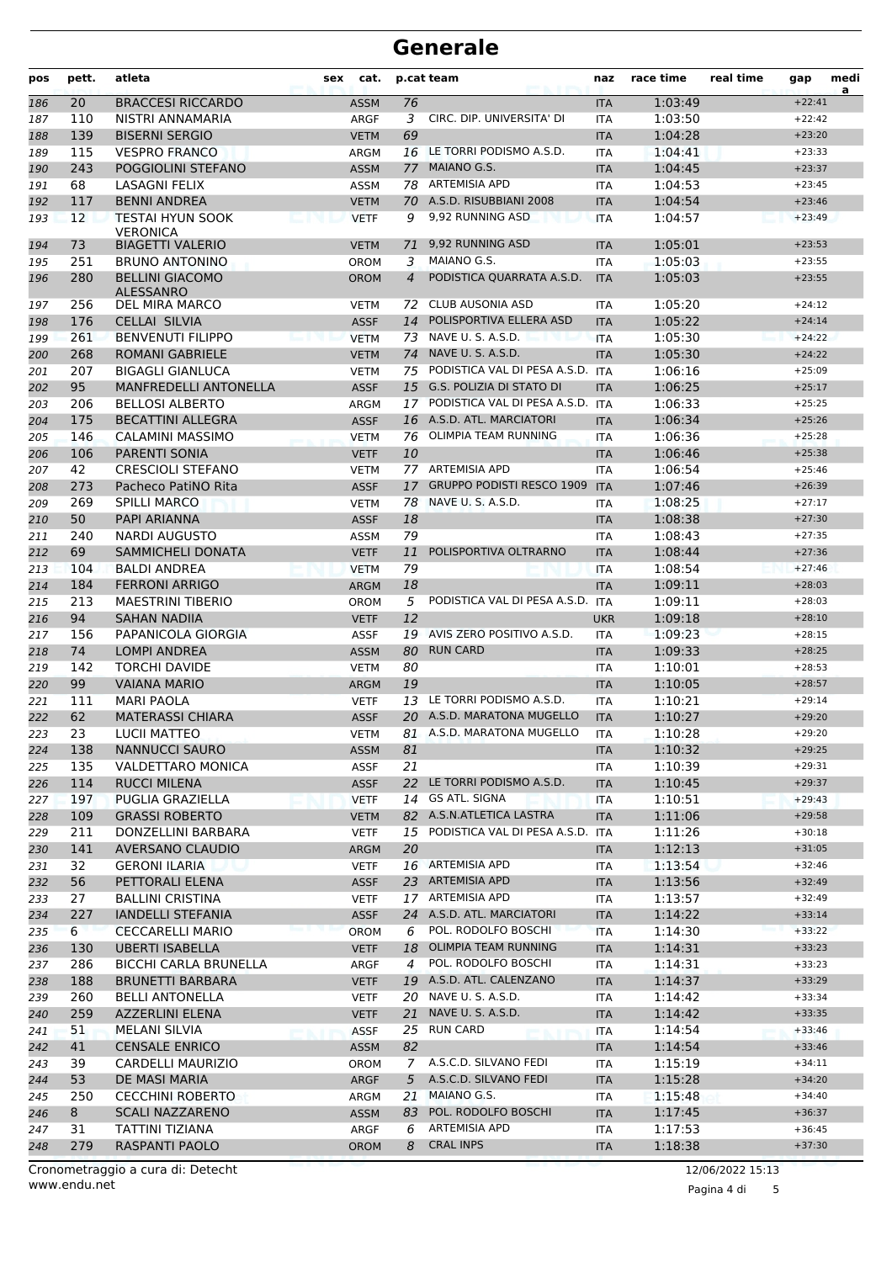| pos        | pett.      | atleta                                           | cat.<br>sex                |                | p.cat team                                 | naz                      | race time          | real time | gap                  | medi<br>a |
|------------|------------|--------------------------------------------------|----------------------------|----------------|--------------------------------------------|--------------------------|--------------------|-----------|----------------------|-----------|
| 186        | 20         | <b>BRACCESI RICCARDO</b>                         | <b>ASSM</b>                | 76             |                                            | <b>ITA</b>               | 1:03:49            |           | $+22:41$             |           |
| 187        | 110        | NISTRI ANNAMARIA                                 | <b>ARGF</b>                | 3              | CIRC. DIP. UNIVERSITA' DI                  | <b>ITA</b>               | 1:03:50            |           | $+22:42$             |           |
| 188        | 139        | <b>BISERNI SERGIO</b>                            | <b>VETM</b>                | 69             |                                            | <b>ITA</b>               | 1:04:28            |           | $+23:20$             |           |
| 189        | 115        | <b>VESPRO FRANCO</b>                             | ARGM                       | 16             | LE TORRI PODISMO A.S.D.                    | 1:04:41<br><b>ITA</b>    |                    |           | $+23:33$             |           |
| 190        | 243        | POGGIOLINI STEFANO                               | <b>ASSM</b>                | 77             | MAIANO G.S.                                | <b>ITA</b>               | 1:04:45            |           | $+23:37$             |           |
| 191        | 68         | LASAGNI FELIX                                    | ASSM                       |                | 78 ARTEMISIA APD                           | <b>ITA</b>               | 1:04:53            |           | $+23:45$             |           |
| 192        | 117        | <b>BENNI ANDREA</b>                              | <b>VETM</b>                | 70             | A.S.D. RISUBBIANI 2008<br>9,92 RUNNING ASD | <b>ITA</b>               | 1:04:54            |           | $+23:46$             |           |
| 193        | 12         | <b>TESTAI HYUN SOOK</b><br><b>VERONICA</b>       | <b>VETF</b>                | 9              | 9,92 RUNNING ASD                           | <b>ITA</b>               | 1:04:57<br>1:05:01 |           | $+23:49$             |           |
| 194        | 73<br>251  | <b>BIAGETTI VALERIO</b><br><b>BRUNO ANTONINO</b> | <b>VETM</b>                | 71<br>3        | MAIANO G.S.                                | <b>ITA</b><br><b>ITA</b> | 1:05:03            |           | $+23:53$<br>$+23:55$ |           |
| 195        | 280        | <b>BELLINI GIACOMO</b>                           | <b>OROM</b>                | 4              | PODISTICA QUARRATA A.S.D.                  | <b>ITA</b>               | 1:05:03            |           | $+23:55$             |           |
| 196        |            | ALESSANRO                                        | <b>OROM</b>                |                | <b>CLUB AUSONIA ASD</b>                    |                          |                    |           | $+24:12$             |           |
| 197        | 256        | DEL MIRA MARCO                                   | <b>VETM</b><br><b>ASSF</b> | 72             | POLISPORTIVA ELLERA ASD                    | <b>ITA</b>               | 1:05:20<br>1:05:22 |           | $+24:14$             |           |
| 198<br>199 | 176<br>261 | <b>CELLAI SILVIA</b><br><b>BENVENUTI FILIPPO</b> | <b>VETM</b>                | 14<br>73       | NAVE U.S.A.S.D.                            | <b>ITA</b><br><b>ITA</b> | 1:05:30            |           | $+24:22$             |           |
| 200        | 268        | <b>ROMANI GABRIELE</b>                           | <b>VETM</b>                | 74             | NAVE U. S. A.S.D.                          | <b>ITA</b>               | 1:05:30            |           | $+24:22$             |           |
| 201        | 207        | <b>BIGAGLI GIANLUCA</b>                          | <b>VETM</b>                | 75             | PODISTICA VAL DI PESA A.S.D. ITA           |                          | 1:06:16            |           | $+25:09$             |           |
| 202        | 95         | <b>MANFREDELLI ANTONELLA</b>                     | <b>ASSF</b>                | 15             | <b>G.S. POLIZIA DI STATO DI</b>            | <b>ITA</b>               | 1:06:25            |           | $+25:17$             |           |
| 203        | 206        | <b>BELLOSI ALBERTO</b>                           | ARGM                       | 17             | PODISTICA VAL DI PESA A.S.D.               | <b>ITA</b>               | 1:06:33            |           | $+25:25$             |           |
| 204        | 175        | <b>BECATTINI ALLEGRA</b>                         | <b>ASSF</b>                |                | 16 A.S.D. ATL. MARCIATORI                  | <b>ITA</b>               | 1:06:34            |           | $+25:26$             |           |
| 205        | 146        | CALAMINI MASSIMO                                 | <b>VETM</b>                | 76             | OLIMPIA TEAM RUNNING                       | <b>ITA</b>               | 1:06:36            |           | $+25:28$             |           |
| 206        | 106        | <b>PARENTI SONIA</b>                             | <b>VETF</b>                | 10             |                                            | <b>ITA</b>               | 1:06:46            |           | $+25:38$             |           |
| 207        | 42         | <b>CRESCIOLI STEFANO</b>                         | <b>VETM</b>                |                | 77 ARTEMISIA APD                           | <b>ITA</b>               | 1:06:54            |           | $+25:46$             |           |
| 208        | 273        | Pacheco PatiNO Rita                              | <b>ASSF</b>                | 17             | <b>GRUPPO PODISTI RESCO 1909</b>           | <b>ITA</b>               | 1:07:46            |           | $+26:39$             |           |
| 209        | 269        | <b>SPILLI MARCO</b>                              | <b>VETM</b>                | 78             | NAVE U. S. A.S.D.                          | <b>ITA</b>               | 1:08:25            |           | $+27:17$             |           |
| 210        | 50         | PAPI ARIANNA                                     | <b>ASSF</b>                | 18             |                                            | <b>ITA</b>               | 1:08:38            |           | $+27:30$             |           |
| 211        | 240        | <b>NARDI AUGUSTO</b>                             | ASSM                       | 79             |                                            | <b>ITA</b>               | 1:08:43            |           | $+27:35$             |           |
| 212        | 69         | SAMMICHELI DONATA                                | <b>VETF</b>                | 11             | POLISPORTIVA OLTRARNO                      | <b>ITA</b>               | 1:08:44            |           | $+27:36$             |           |
| 213        | 104        | <b>BALDI ANDREA</b>                              | <b>VETM</b>                | 79             |                                            | <b>ITA</b>               | 1:08:54            |           | $+27:46$             |           |
| 214        | 184        | <b>FERRONI ARRIGO</b>                            | <b>ARGM</b>                | 18             |                                            | <b>ITA</b>               | 1:09:11            |           | $+28:03$             |           |
| 215        | 213        | <b>MAESTRINI TIBERIO</b>                         | <b>OROM</b>                | 5              | PODISTICA VAL DI PESA A.S.D.               | <b>ITA</b>               | 1:09:11            |           | $+28:03$             |           |
| 216        | 94         | SAHAN NADIIA                                     | <b>VETF</b>                | 12             |                                            | <b>UKR</b>               | 1:09:18            |           | $+28:10$             |           |
| 217        | 156        | PAPANICOLA GIORGIA                               | <b>ASSF</b>                |                | 19 AVIS ZERO POSITIVO A.S.D.               | <b>ITA</b>               | 1:09:23            |           | $+28:15$             |           |
| 218        | 74         | <b>LOMPI ANDREA</b>                              | <b>ASSM</b>                | 80             | <b>RUN CARD</b>                            | <b>ITA</b>               | 1:09:33            |           | $+28:25$             |           |
| 219        | 142<br>99  | <b>TORCHI DAVIDE</b>                             | <b>VETM</b>                | 80             |                                            | <b>ITA</b>               | 1:10:01<br>1:10:05 |           | $+28:53$<br>$+28:57$ |           |
| 220<br>221 | 111        | <b>VAIANA MARIO</b><br><b>MARI PAOLA</b>         | <b>ARGM</b><br><b>VETF</b> | 19<br>13       | LE TORRI PODISMO A.S.D.                    | <b>ITA</b><br><b>ITA</b> | 1:10:21            |           | $+29:14$             |           |
| 222        | 62         | <b>MATERASSI CHIARA</b>                          | <b>ASSF</b>                |                | 20 A.S.D. MARATONA MUGELLO                 | <b>ITA</b>               | 1:10:27            |           | $+29:20$             |           |
| 223        | 23         | LUCII MATTEO                                     | <b>VETM</b>                |                | 81 A.S.D. MARATONA MUGELLO                 | <b>ITA</b>               | 1:10:28            |           | $+29:20$             |           |
| 224        | 138        | <b>NANNUCCI SAURO</b>                            | <b>ASSM</b>                | 81             |                                            | <b>ITA</b>               | 1:10:32            |           | $+29:25$             |           |
| 225        | 135        | <b>VALDETTARO MONICA</b>                         | <b>ASSF</b>                | 21             |                                            | ITA                      | 1:10:39            |           | $+29:31$             |           |
| 226        | 114        | <b>RUCCI MILENA</b>                              | <b>ASSF</b>                |                | 22 LE TORRI PODISMO A.S.D.                 | <b>ITA</b>               | 1:10:45            |           | $+29:37$             |           |
| 227        | 197        | PUGLIA GRAZIELLA                                 | <b>VETF</b>                |                | 14 GS ATL. SIGNA                           | <b>ITA</b>               | 1:10:51            |           | $+29:43$             |           |
| 228        | 109        | <b>GRASSI ROBERTO</b>                            | <b>VETM</b>                |                | 82 A.S.N.ATLETICA LASTRA                   | <b>ITA</b>               | 1:11:06            |           | $+29:58$             |           |
| 229        | 211        | DONZELLINI BARBARA                               | <b>VETF</b>                | 15             | PODISTICA VAL DI PESA A.S.D.               | <b>ITA</b>               | 1:11:26            |           | $+30:18$             |           |
| 230        | 141        | <b>AVERSANO CLAUDIO</b>                          | <b>ARGM</b>                | 20             |                                            | <b>ITA</b>               | 1:12:13            |           | $+31:05$             |           |
| 231        | 32         | <b>GERONI ILARIA</b>                             | <b>VETF</b>                |                | 16 ARTEMISIA APD                           | ITA                      | 1:13:54            |           | $+32:46$             |           |
| 232        | 56         | PETTORALI ELENA                                  | <b>ASSF</b>                |                | 23 ARTEMISIA APD                           | <b>ITA</b>               | 1:13:56            |           | $+32:49$             |           |
| 233        | 27         | <b>BALLINI CRISTINA</b>                          | <b>VETF</b>                |                | 17 ARTEMISIA APD                           | ITA                      | 1:13:57            |           | $+32:49$             |           |
| 234        | 227        | <b>IANDELLI STEFANIA</b>                         | <b>ASSF</b>                |                | 24 A.S.D. ATL. MARCIATORI                  | <b>ITA</b>               | 1:14:22            |           | $+33:14$             |           |
| 235        | 6          | <b>CECCARELLI MARIO</b>                          | <b>OROM</b>                | 6              | POL. RODOLFO BOSCHI                        | <b>ITA</b>               | 1:14:30            |           | $+33:22$             |           |
| 236        | 130        | <b>UBERTI ISABELLA</b>                           | <b>VETF</b>                | 18             | OLIMPIA TEAM RUNNING                       | <b>ITA</b>               | 1:14:31            |           | $+33:23$             |           |
| 237        | 286        | <b>BICCHI CARLA BRUNELLA</b>                     | ARGF                       | $\overline{4}$ | POL. RODOLFO BOSCHI                        | ITA                      | 1:14:31            |           | $+33:23$             |           |
| 238        | 188        | <b>BRUNETTI BARBARA</b>                          | <b>VETF</b>                |                | 19 A.S.D. ATL. CALENZANO                   | <b>ITA</b>               | 1:14:37            |           | $+33:29$             |           |
| 239        | 260        | <b>BELLI ANTONELLA</b>                           | <b>VETF</b>                |                | 20 NAVE U. S. A.S.D.                       | ITA                      | 1:14:42            |           | $+33:34$             |           |
| 240        | 259        | <b>AZZERLINI ELENA</b>                           | <b>VETF</b>                | 21             | NAVE U. S. A.S.D.                          | <b>ITA</b>               | 1:14:42            |           | $+33:35$             |           |
| 241        | 51         | <b>MELANI SILVIA</b>                             | <b>ASSF</b>                | 25             | <b>RUN CARD</b>                            | ITA                      | 1:14:54            |           | $+33:46$             |           |
| 242        | 41         | <b>CENSALE ENRICO</b>                            | <b>ASSM</b>                | 82             | A.S.C.D. SILVANO FEDI                      | <b>ITA</b>               | 1:14:54            |           | $+33:46$             |           |
| 243        | 39         | CARDELLI MAURIZIO                                | OROM                       | 7<br>5         | A.S.C.D. SILVANO FEDI                      | ITA                      | 1:15:19            |           | $+34:11$<br>$+34:20$ |           |
| 244        | 53<br>250  | DE MASI MARIA<br><b>CECCHINI ROBERTO</b>         | ARGF                       | 21             | MAIANO G.S.                                | <b>ITA</b><br>ITA        | 1:15:28<br>1:15:48 |           | $+34:40$             |           |
| 245<br>246 | 8          | <b>SCALI NAZZARENO</b>                           | ARGM<br>ASSM               | 83             | POL. RODOLFO BOSCHI                        | <b>ITA</b>               | 1:17:45            |           | $+36:37$             |           |
| 247        | 31         | TATTINI TIZIANA                                  | ARGF                       | 6              | <b>ARTEMISIA APD</b>                       | ITA                      | 1:17:53            |           | $+36:45$             |           |
| 248        | 279        | RASPANTI PAOLO                                   | <b>OROM</b>                | 8              | <b>CRAL INPS</b>                           | <b>ITA</b>               | 1:18:38            |           | $+37:30$             |           |
|            |            |                                                  |                            |                |                                            |                          |                    |           |                      |           |

Pagina 4 di 5